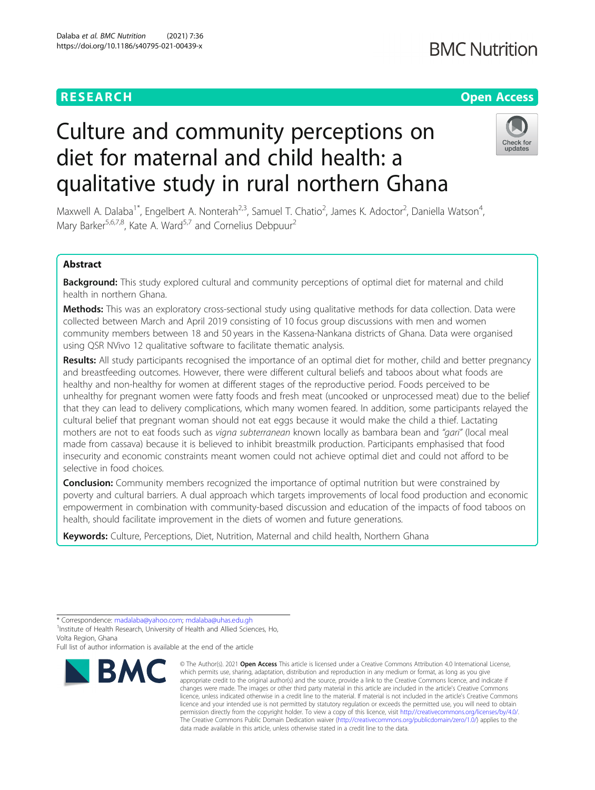# **RESEARCH CHEAR CHEAR CHEAR CHEAR CHEAR CHEAR CHEAR CHEAR CHEAR CHEAP CHEAP CHEAP CHEAP CHEAP CHEAP CHEAP CHEAP**

# **BMC Nutrition**

# Culture and community perceptions on diet for maternal and child health: a qualitative study in rural northern Ghana



Maxwell A. Dalaba<sup>1\*</sup>, Engelbert A. Nonterah<sup>2,3</sup>, Samuel T. Chatio<sup>2</sup>, James K. Adoctor<sup>2</sup>, Daniella Watson<sup>4</sup> , Mary Barker<sup>5,6,7,8</sup>, Kate A. Ward<sup>5,7</sup> and Cornelius Debpuur<sup>2</sup>

# Abstract

**Background:** This study explored cultural and community perceptions of optimal diet for maternal and child health in northern Ghana.

Methods: This was an exploratory cross-sectional study using qualitative methods for data collection. Data were collected between March and April 2019 consisting of 10 focus group discussions with men and women community members between 18 and 50 years in the Kassena-Nankana districts of Ghana. Data were organised using QSR NVivo 12 qualitative software to facilitate thematic analysis.

Results: All study participants recognised the importance of an optimal diet for mother, child and better pregnancy and breastfeeding outcomes. However, there were different cultural beliefs and taboos about what foods are healthy and non-healthy for women at different stages of the reproductive period. Foods perceived to be unhealthy for pregnant women were fatty foods and fresh meat (uncooked or unprocessed meat) due to the belief that they can lead to delivery complications, which many women feared. In addition, some participants relayed the cultural belief that pregnant woman should not eat eggs because it would make the child a thief. Lactating mothers are not to eat foods such as vigna subterranean known locally as bambara bean and "gari" (local meal made from cassava) because it is believed to inhibit breastmilk production. Participants emphasised that food insecurity and economic constraints meant women could not achieve optimal diet and could not afford to be selective in food choices.

**Conclusion:** Community members recognized the importance of optimal nutrition but were constrained by poverty and cultural barriers. A dual approach which targets improvements of local food production and economic empowerment in combination with community-based discussion and education of the impacts of food taboos on health, should facilitate improvement in the diets of women and future generations.

Keywords: Culture, Perceptions, Diet, Nutrition, Maternal and child health, Northern Ghana

<sup>1</sup> Institute of Health Research, University of Health and Allied Sciences, Ho, Volta Region, Ghana

Full list of author information is available at the end of the article



<sup>©</sup> The Author(s), 2021 **Open Access** This article is licensed under a Creative Commons Attribution 4.0 International License, which permits use, sharing, adaptation, distribution and reproduction in any medium or format, as long as you give appropriate credit to the original author(s) and the source, provide a link to the Creative Commons licence, and indicate if changes were made. The images or other third party material in this article are included in the article's Creative Commons licence, unless indicated otherwise in a credit line to the material. If material is not included in the article's Creative Commons licence and your intended use is not permitted by statutory regulation or exceeds the permitted use, you will need to obtain permission directly from the copyright holder. To view a copy of this licence, visit [http://creativecommons.org/licenses/by/4.0/.](http://creativecommons.org/licenses/by/4.0/) The Creative Commons Public Domain Dedication waiver [\(http://creativecommons.org/publicdomain/zero/1.0/](http://creativecommons.org/publicdomain/zero/1.0/)) applies to the data made available in this article, unless otherwise stated in a credit line to the data.

<sup>\*</sup> Correspondence: [madalaba@yahoo.com](mailto:madalaba@yahoo.com); [mdalaba@uhas.edu.gh](mailto:mdalaba@uhas.edu.gh) <sup>1</sup>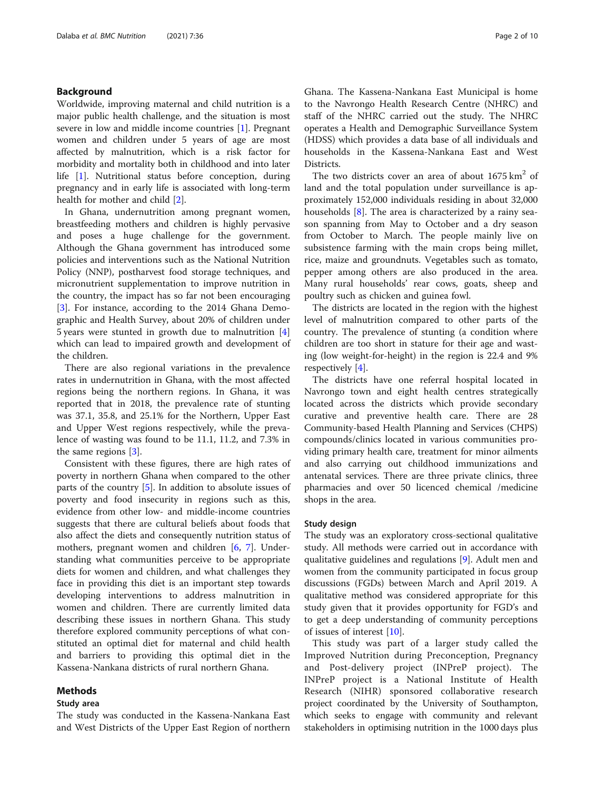# Background

Worldwide, improving maternal and child nutrition is a major public health challenge, and the situation is most severe in low and middle income countries [\[1](#page-8-0)]. Pregnant women and children under 5 years of age are most affected by malnutrition, which is a risk factor for morbidity and mortality both in childhood and into later life [[1\]](#page-8-0). Nutritional status before conception, during pregnancy and in early life is associated with long-term health for mother and child [\[2](#page-8-0)].

In Ghana, undernutrition among pregnant women, breastfeeding mothers and children is highly pervasive and poses a huge challenge for the government. Although the Ghana government has introduced some policies and interventions such as the National Nutrition Policy (NNP), postharvest food storage techniques, and micronutrient supplementation to improve nutrition in the country, the impact has so far not been encouraging [[3\]](#page-8-0). For instance, according to the 2014 Ghana Demographic and Health Survey, about 20% of children under 5 years were stunted in growth due to malnutrition [\[4](#page-8-0)] which can lead to impaired growth and development of the children.

There are also regional variations in the prevalence rates in undernutrition in Ghana, with the most affected regions being the northern regions. In Ghana, it was reported that in 2018, the prevalence rate of stunting was 37.1, 35.8, and 25.1% for the Northern, Upper East and Upper West regions respectively, while the prevalence of wasting was found to be 11.1, 11.2, and 7.3% in the same regions [[3\]](#page-8-0).

Consistent with these figures, there are high rates of poverty in northern Ghana when compared to the other parts of the country [\[5](#page-8-0)]. In addition to absolute issues of poverty and food insecurity in regions such as this, evidence from other low- and middle-income countries suggests that there are cultural beliefs about foods that also affect the diets and consequently nutrition status of mothers, pregnant women and children  $[6, 7]$  $[6, 7]$  $[6, 7]$  $[6, 7]$ . Understanding what communities perceive to be appropriate diets for women and children, and what challenges they face in providing this diet is an important step towards developing interventions to address malnutrition in women and children. There are currently limited data describing these issues in northern Ghana. This study therefore explored community perceptions of what constituted an optimal diet for maternal and child health and barriers to providing this optimal diet in the Kassena-Nankana districts of rural northern Ghana.

# Methods

#### Study area

The study was conducted in the Kassena-Nankana East and West Districts of the Upper East Region of northern

Ghana. The Kassena-Nankana East Municipal is home to the Navrongo Health Research Centre (NHRC) and staff of the NHRC carried out the study. The NHRC operates a Health and Demographic Surveillance System (HDSS) which provides a data base of all individuals and households in the Kassena-Nankana East and West Districts.

The two districts cover an area of about  $1675 \text{ km}^2$  of land and the total population under surveillance is approximately 152,000 individuals residing in about 32,000 households [\[8](#page-8-0)]. The area is characterized by a rainy season spanning from May to October and a dry season from October to March. The people mainly live on subsistence farming with the main crops being millet, rice, maize and groundnuts. Vegetables such as tomato, pepper among others are also produced in the area. Many rural households' rear cows, goats, sheep and poultry such as chicken and guinea fowl.

The districts are located in the region with the highest level of malnutrition compared to other parts of the country. The prevalence of stunting (a condition where children are too short in stature for their age and wasting (low weight-for-height) in the region is 22.4 and 9% respectively [\[4](#page-8-0)].

The districts have one referral hospital located in Navrongo town and eight health centres strategically located across the districts which provide secondary curative and preventive health care. There are 28 Community-based Health Planning and Services (CHPS) compounds/clinics located in various communities providing primary health care, treatment for minor ailments and also carrying out childhood immunizations and antenatal services. There are three private clinics, three pharmacies and over 50 licenced chemical /medicine shops in the area.

#### Study design

The study was an exploratory cross-sectional qualitative study. All methods were carried out in accordance with qualitative guidelines and regulations [\[9](#page-8-0)]. Adult men and women from the community participated in focus group discussions (FGDs) between March and April 2019. A qualitative method was considered appropriate for this study given that it provides opportunity for FGD's and to get a deep understanding of community perceptions of issues of interest [[10\]](#page-8-0).

This study was part of a larger study called the Improved Nutrition during Preconception, Pregnancy and Post-delivery project (INPreP project). The INPreP project is a National Institute of Health Research (NIHR) sponsored collaborative research project coordinated by the University of Southampton, which seeks to engage with community and relevant stakeholders in optimising nutrition in the 1000 days plus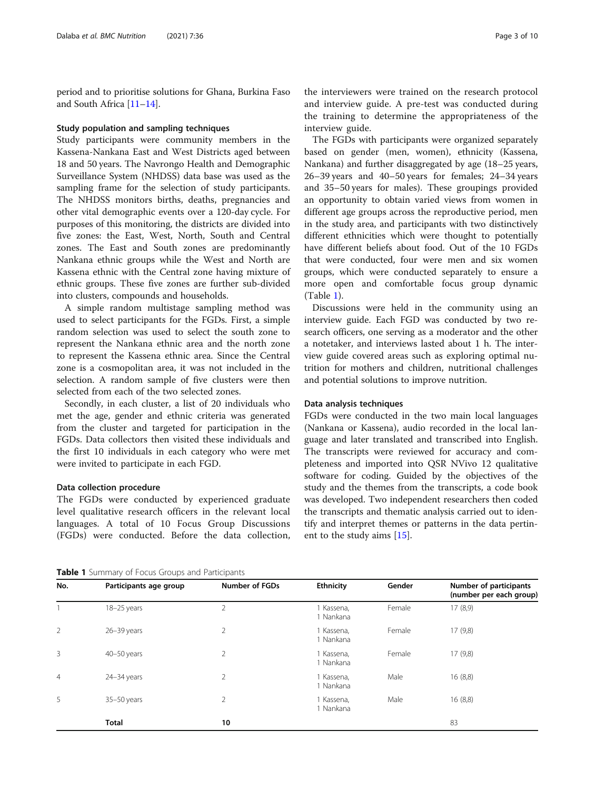<span id="page-2-0"></span>period and to prioritise solutions for Ghana, Burkina Faso and South Africa [\[11](#page-8-0)–[14](#page-8-0)].

#### Study population and sampling techniques

Study participants were community members in the Kassena-Nankana East and West Districts aged between 18 and 50 years. The Navrongo Health and Demographic Surveillance System (NHDSS) data base was used as the sampling frame for the selection of study participants. The NHDSS monitors births, deaths, pregnancies and other vital demographic events over a 120-day cycle. For purposes of this monitoring, the districts are divided into five zones: the East, West, North, South and Central zones. The East and South zones are predominantly Nankana ethnic groups while the West and North are Kassena ethnic with the Central zone having mixture of ethnic groups. These five zones are further sub-divided into clusters, compounds and households.

A simple random multistage sampling method was used to select participants for the FGDs. First, a simple random selection was used to select the south zone to represent the Nankana ethnic area and the north zone to represent the Kassena ethnic area. Since the Central zone is a cosmopolitan area, it was not included in the selection. A random sample of five clusters were then selected from each of the two selected zones.

Secondly, in each cluster, a list of 20 individuals who met the age, gender and ethnic criteria was generated from the cluster and targeted for participation in the FGDs. Data collectors then visited these individuals and the first 10 individuals in each category who were met were invited to participate in each FGD.

#### Data collection procedure

The FGDs were conducted by experienced graduate level qualitative research officers in the relevant local languages. A total of 10 Focus Group Discussions (FGDs) were conducted. Before the data collection, the interviewers were trained on the research protocol and interview guide. A pre-test was conducted during the training to determine the appropriateness of the interview guide.

The FGDs with participants were organized separately based on gender (men, women), ethnicity (Kassena, Nankana) and further disaggregated by age (18–25 years, 26–39 years and 40–50 years for females; 24–34 years and 35–50 years for males). These groupings provided an opportunity to obtain varied views from women in different age groups across the reproductive period, men in the study area, and participants with two distinctively different ethnicities which were thought to potentially have different beliefs about food. Out of the 10 FGDs that were conducted, four were men and six women groups, which were conducted separately to ensure a more open and comfortable focus group dynamic (Table 1).

Discussions were held in the community using an interview guide. Each FGD was conducted by two research officers, one serving as a moderator and the other a notetaker, and interviews lasted about 1 h. The interview guide covered areas such as exploring optimal nutrition for mothers and children, nutritional challenges and potential solutions to improve nutrition.

#### Data analysis techniques

FGDs were conducted in the two main local languages (Nankana or Kassena), audio recorded in the local language and later translated and transcribed into English. The transcripts were reviewed for accuracy and completeness and imported into QSR NVivo 12 qualitative software for coding. Guided by the objectives of the study and the themes from the transcripts, a code book was developed. Two independent researchers then coded the transcripts and thematic analysis carried out to identify and interpret themes or patterns in the data pertinent to the study aims [[15](#page-8-0)].

Table 1 Summary of Focus Groups and Participants

| No.            | Participants age group | <b>Number of FGDs</b> | <b>Ethnicity</b>        | Gender | <b>Number of participants</b><br>(number per each group) |
|----------------|------------------------|-----------------------|-------------------------|--------|----------------------------------------------------------|
|                | 18-25 years            | $\overline{2}$        | 1 Kassena,<br>1 Nankana | Female | 17(8,9)                                                  |
| 2              | $26 - 39$ years        | 2                     | 1 Kassena,<br>1 Nankana | Female | 17(9,8)                                                  |
| 3              | $40 - 50$ years        | $\overline{2}$        | 1 Kassena,<br>1 Nankana | Female | 17(9,8)                                                  |
| $\overline{4}$ | $24 - 34$ years        | $\overline{2}$        | 1 Kassena,<br>1 Nankana | Male   | 16(8,8)                                                  |
| 5              | $35 - 50$ years        | $\overline{2}$        | 1 Kassena,<br>1 Nankana | Male   | 16(8,8)                                                  |
|                | <b>Total</b>           | 10                    |                         |        | 83                                                       |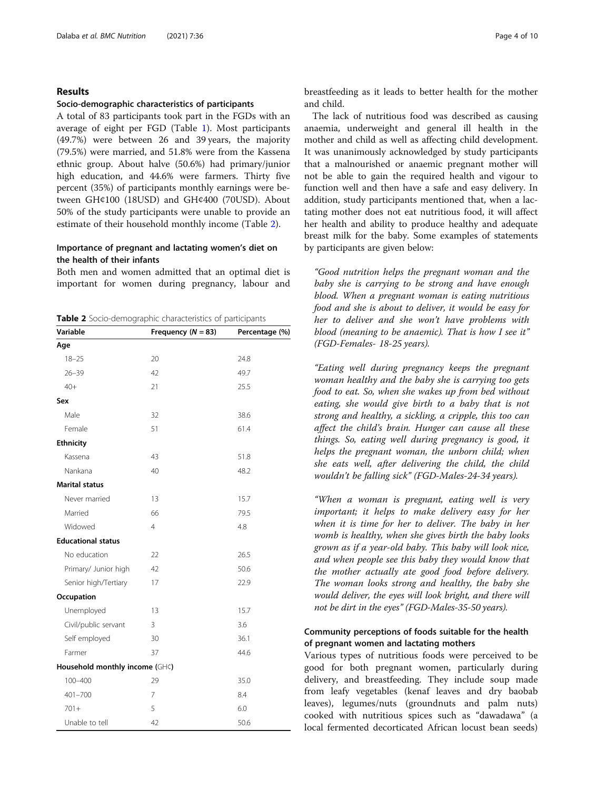### Results

#### Socio-demographic characteristics of participants

A total of 83 participants took part in the FGDs with an average of eight per FGD (Table [1\)](#page-2-0). Most participants (49.7%) were between 26 and 39 years, the majority (79.5%) were married, and 51.8% were from the Kassena ethnic group. About halve (50.6%) had primary/junior high education, and 44.6% were farmers. Thirty five percent (35%) of participants monthly earnings were between GH¢100 (18USD) and GH¢400 (70USD). About 50% of the study participants were unable to provide an estimate of their household monthly income (Table 2).

# Importance of pregnant and lactating women's diet on the health of their infants

Both men and women admitted that an optimal diet is important for women during pregnancy, labour and

Table 2 Socio-demographic characteristics of participants

| Variable                       | Frequency $(N = 83)$ | Percentage (%) |
|--------------------------------|----------------------|----------------|
| Age                            |                      |                |
| $18 - 25$                      | 20                   | 24.8           |
| $26 - 39$                      | 42                   | 49.7           |
| $40+$                          | 21                   | 25.5           |
| Sex                            |                      |                |
| Male                           | 32                   | 38.6           |
| Female                         | 51                   | 61.4           |
| <b>Ethnicity</b>               |                      |                |
| Kassena                        | 43                   | 51.8           |
| Nankana                        | 40                   | 48.2           |
| <b>Marital status</b>          |                      |                |
| Never married                  | 13                   | 15.7           |
| Married                        | 66                   | 79.5           |
| Widowed                        | 4                    | 4.8            |
| <b>Educational status</b>      |                      |                |
| No education                   | 22                   | 26.5           |
| Primary/ Junior high           | 42                   | 50.6           |
| Senior high/Tertiary           | 17                   | 22.9           |
| Occupation                     |                      |                |
| Unemployed                     | 13                   | 15.7           |
| Civil/public servant           | 3                    | 3.6            |
| Self employed                  | 30                   | 36.1           |
| Farmer                         | 37                   | 44.6           |
| Household monthly income (GH¢) |                      |                |
| $100 - 400$                    | 29                   | 35.0           |
| $401 - 700$                    | 7                    | 8.4            |
| $701 +$                        | 5                    | 6.0            |
| Unable to tell                 | 42                   | 50.6           |

breastfeeding as it leads to better health for the mother and child.

The lack of nutritious food was described as causing anaemia, underweight and general ill health in the mother and child as well as affecting child development. It was unanimously acknowledged by study participants that a malnourished or anaemic pregnant mother will not be able to gain the required health and vigour to function well and then have a safe and easy delivery. In addition, study participants mentioned that, when a lactating mother does not eat nutritious food, it will affect her health and ability to produce healthy and adequate breast milk for the baby. Some examples of statements by participants are given below:

"Good nutrition helps the pregnant woman and the baby she is carrying to be strong and have enough blood. When a pregnant woman is eating nutritious food and she is about to deliver, it would be easy for her to deliver and she won't have problems with blood (meaning to be anaemic). That is how I see it" (FGD-Females- 18-25 years).

"Eating well during pregnancy keeps the pregnant woman healthy and the baby she is carrying too gets food to eat. So, when she wakes up from bed without eating, she would give birth to a baby that is not strong and healthy, a sickling, a cripple, this too can affect the child's brain. Hunger can cause all these things. So, eating well during pregnancy is good, it helps the pregnant woman, the unborn child; when she eats well, after delivering the child, the child wouldn't be falling sick" (FGD-Males-24-34 years).

"When a woman is pregnant, eating well is very important; it helps to make delivery easy for her when it is time for her to deliver. The baby in her womb is healthy, when she gives birth the baby looks grown as if a year-old baby. This baby will look nice, and when people see this baby they would know that the mother actually ate good food before delivery. The woman looks strong and healthy, the baby she would deliver, the eyes will look bright, and there will not be dirt in the eyes" (FGD-Males-35-50 years).

# Community perceptions of foods suitable for the health of pregnant women and lactating mothers

Various types of nutritious foods were perceived to be good for both pregnant women, particularly during delivery, and breastfeeding. They include soup made from leafy vegetables (kenaf leaves and dry baobab leaves), legumes/nuts (groundnuts and palm nuts) cooked with nutritious spices such as "dawadawa" (a local fermented decorticated African locust bean seeds)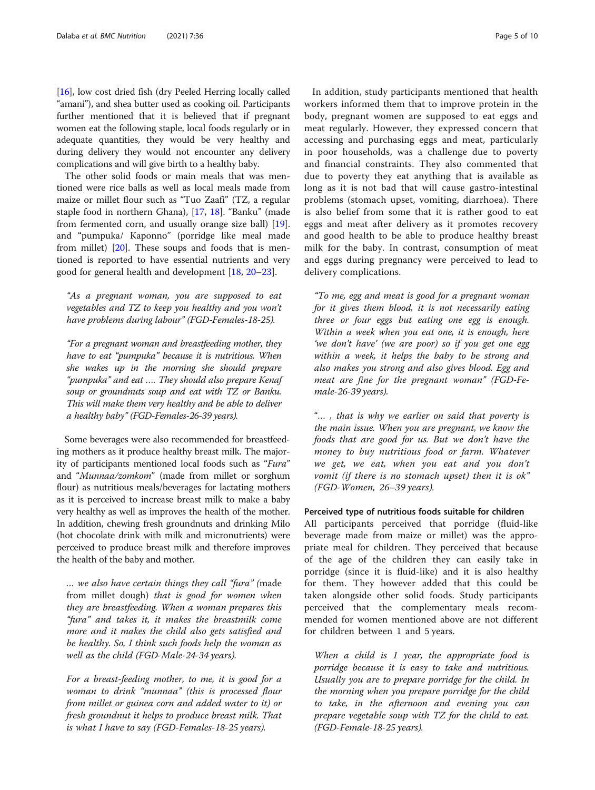[[16](#page-8-0)], low cost dried fish (dry Peeled Herring locally called "amani"), and shea butter used as cooking oil. Participants further mentioned that it is believed that if pregnant women eat the following staple, local foods regularly or in adequate quantities, they would be very healthy and during delivery they would not encounter any delivery complications and will give birth to a healthy baby.

The other solid foods or main meals that was mentioned were rice balls as well as local meals made from maize or millet flour such as "Tuo Zaafi" (TZ, a regular staple food in northern Ghana), [[17,](#page-8-0) [18](#page-8-0)]. "Banku" (made from fermented corn, and usually orange size ball) [\[19](#page-8-0)]. and "pumpuka/ Kaponno" (porridge like meal made from millet) [\[20](#page-8-0)]. These soups and foods that is mentioned is reported to have essential nutrients and very good for general health and development [[18](#page-8-0), [20](#page-8-0)–[23](#page-9-0)].

"As a pregnant woman, you are supposed to eat vegetables and TZ to keep you healthy and you won't have problems during labour" (FGD-Females-18-25).

"For a pregnant woman and breastfeeding mother, they have to eat "pumpuka" because it is nutritious. When she wakes up in the morning she should prepare "pumpuka" and eat …. They should also prepare Kenaf soup or groundnuts soup and eat with TZ or Banku. This will make them very healthy and be able to deliver a healthy baby" (FGD-Females-26-39 years).

Some beverages were also recommended for breastfeeding mothers as it produce healthy breast milk. The majority of participants mentioned local foods such as "Fura" and "Munnaa/zomkom" (made from millet or sorghum flour) as nutritious meals/beverages for lactating mothers as it is perceived to increase breast milk to make a baby very healthy as well as improves the health of the mother. In addition, chewing fresh groundnuts and drinking Milo (hot chocolate drink with milk and micronutrients) were perceived to produce breast milk and therefore improves the health of the baby and mother.

… we also have certain things they call "fura" (made from millet dough) that is good for women when they are breastfeeding. When a woman prepares this "fura" and takes it, it makes the breastmilk come more and it makes the child also gets satisfied and be healthy. So, I think such foods help the woman as well as the child (FGD-Male-24-34 years).

For a breast-feeding mother, to me, it is good for a woman to drink "munnaa" (this is processed flour from millet or guinea corn and added water to it) or fresh groundnut it helps to produce breast milk. That is what I have to say (FGD-Females-18-25 years).

In addition, study participants mentioned that health workers informed them that to improve protein in the body, pregnant women are supposed to eat eggs and meat regularly. However, they expressed concern that accessing and purchasing eggs and meat, particularly in poor households, was a challenge due to poverty and financial constraints. They also commented that due to poverty they eat anything that is available as long as it is not bad that will cause gastro-intestinal problems (stomach upset, vomiting, diarrhoea). There is also belief from some that it is rather good to eat eggs and meat after delivery as it promotes recovery and good health to be able to produce healthy breast milk for the baby. In contrast, consumption of meat and eggs during pregnancy were perceived to lead to delivery complications.

"To me, egg and meat is good for a pregnant woman for it gives them blood, it is not necessarily eating three or four eggs but eating one egg is enough. Within a week when you eat one, it is enough, here 'we don't have' (we are poor) so if you get one egg within a week, it helps the baby to be strong and also makes you strong and also gives blood. Egg and meat are fine for the pregnant woman" (FGD-Female-26-39 years).

"… , that is why we earlier on said that poverty is the main issue. When you are pregnant, we know the foods that are good for us. But we don't have the money to buy nutritious food or farm. Whatever we get, we eat, when you eat and you don't vomit (if there is no stomach upset) then it is ok" (FGD-Women, 26–39 years).

### Perceived type of nutritious foods suitable for children

All participants perceived that porridge (fluid-like beverage made from maize or millet) was the appropriate meal for children. They perceived that because of the age of the children they can easily take in porridge (since it is fluid-like) and it is also healthy for them. They however added that this could be taken alongside other solid foods. Study participants perceived that the complementary meals recommended for women mentioned above are not different for children between 1 and 5 years.

When a child is 1 year, the appropriate food is porridge because it is easy to take and nutritious. Usually you are to prepare porridge for the child. In the morning when you prepare porridge for the child to take, in the afternoon and evening you can prepare vegetable soup with TZ for the child to eat. (FGD-Female-18-25 years).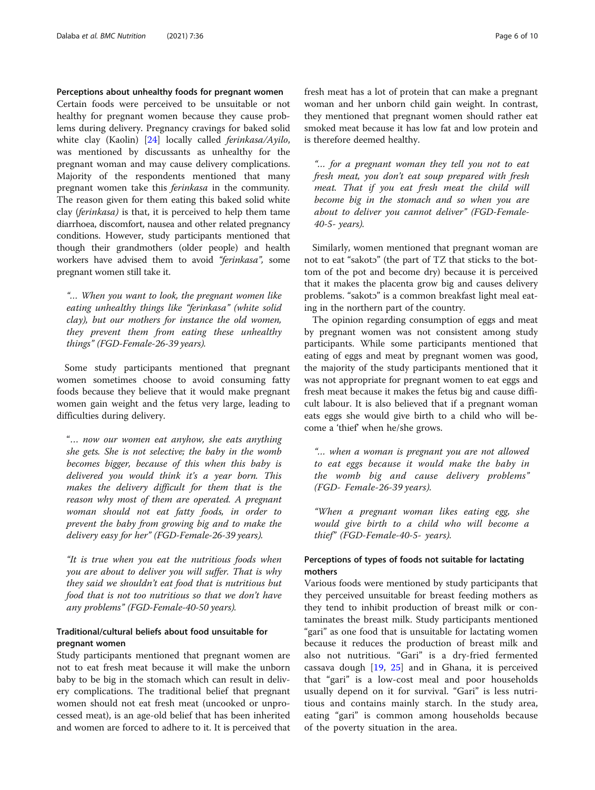#### Perceptions about unhealthy foods for pregnant women

Certain foods were perceived to be unsuitable or not healthy for pregnant women because they cause problems during delivery. Pregnancy cravings for baked solid white clay (Kaolin) [[24](#page-9-0)] locally called ferinkasa/Ayilo, was mentioned by discussants as unhealthy for the pregnant woman and may cause delivery complications. Majority of the respondents mentioned that many pregnant women take this ferinkasa in the community. The reason given for them eating this baked solid white clay (ferinkasa) is that, it is perceived to help them tame diarrhoea, discomfort, nausea and other related pregnancy conditions. However, study participants mentioned that though their grandmothers (older people) and health workers have advised them to avoid "ferinkasa", some pregnant women still take it.

"… When you want to look, the pregnant women like eating unhealthy things like "ferinkasa" (white solid clay), but our mothers for instance the old women, they prevent them from eating these unhealthy things" (FGD-Female-26-39 years).

Some study participants mentioned that pregnant women sometimes choose to avoid consuming fatty foods because they believe that it would make pregnant women gain weight and the fetus very large, leading to difficulties during delivery.

"… now our women eat anyhow, she eats anything she gets. She is not selective; the baby in the womb becomes bigger, because of this when this baby is delivered you would think it's a year born. This makes the delivery difficult for them that is the reason why most of them are operated. A pregnant woman should not eat fatty foods, in order to prevent the baby from growing big and to make the delivery easy for her" (FGD-Female-26-39 years).

"It is true when you eat the nutritious foods when you are about to deliver you will suffer. That is why they said we shouldn't eat food that is nutritious but food that is not too nutritious so that we don't have any problems" (FGD-Female-40-50 years).

# Traditional/cultural beliefs about food unsuitable for pregnant women

Study participants mentioned that pregnant women are not to eat fresh meat because it will make the unborn baby to be big in the stomach which can result in delivery complications. The traditional belief that pregnant women should not eat fresh meat (uncooked or unprocessed meat), is an age-old belief that has been inherited and women are forced to adhere to it. It is perceived that fresh meat has a lot of protein that can make a pregnant woman and her unborn child gain weight. In contrast, they mentioned that pregnant women should rather eat smoked meat because it has low fat and low protein and is therefore deemed healthy.

"… for a pregnant woman they tell you not to eat fresh meat, you don't eat soup prepared with fresh meat. That if you eat fresh meat the child will become big in the stomach and so when you are about to deliver you cannot deliver" (FGD-Female-40-5- years).

Similarly, women mentioned that pregnant woman are not to eat "sakotɔ" (the part of TZ that sticks to the bottom of the pot and become dry) because it is perceived that it makes the placenta grow big and causes delivery problems. "sakotɔ" is a common breakfast light meal eating in the northern part of the country.

The opinion regarding consumption of eggs and meat by pregnant women was not consistent among study participants. While some participants mentioned that eating of eggs and meat by pregnant women was good, the majority of the study participants mentioned that it was not appropriate for pregnant women to eat eggs and fresh meat because it makes the fetus big and cause difficult labour. It is also believed that if a pregnant woman eats eggs she would give birth to a child who will become a 'thief' when he/she grows.

"… when a woman is pregnant you are not allowed to eat eggs because it would make the baby in the womb big and cause delivery problems" (FGD- Female-26-39 years).

"When a pregnant woman likes eating egg, she would give birth to a child who will become a thief" (FGD-Female-40-5- years).

# Perceptions of types of foods not suitable for lactating mothers

Various foods were mentioned by study participants that they perceived unsuitable for breast feeding mothers as they tend to inhibit production of breast milk or contaminates the breast milk. Study participants mentioned "gari" as one food that is unsuitable for lactating women because it reduces the production of breast milk and also not nutritious. "Gari" is a dry-fried fermented cassava dough [\[19](#page-8-0), [25](#page-9-0)] and in Ghana, it is perceived that "gari" is a low-cost meal and poor households usually depend on it for survival. "Gari" is less nutritious and contains mainly starch. In the study area, eating "gari" is common among households because of the poverty situation in the area.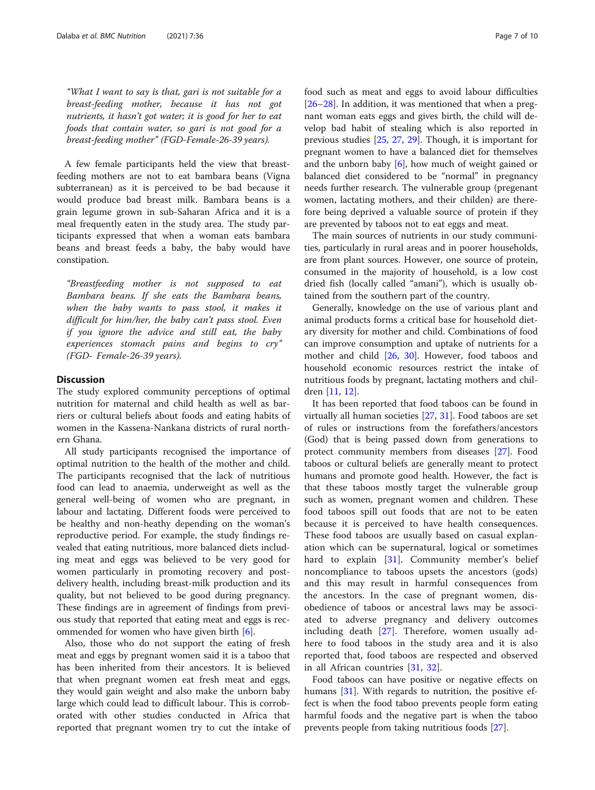"What I want to say is that, gari is not suitable for a breast-feeding mother, because it has not got nutrients, it hasn't got water; it is good for her to eat foods that contain water, so gari is not good for a breast-feeding mother" (FGD-Female-26-39 years).

A few female participants held the view that breastfeeding mothers are not to eat bambara beans (Vigna subterranean) as it is perceived to be bad because it would produce bad breast milk. Bambara beans is a grain legume grown in sub-Saharan Africa and it is a meal frequently eaten in the study area. The study participants expressed that when a woman eats bambara beans and breast feeds a baby, the baby would have constipation.

"Breastfeeding mother is not supposed to eat Bambara beans. If she eats the Bambara beans, when the baby wants to pass stool, it makes it difficult for him/her, the baby can't pass stool. Even if you ignore the advice and still eat, the baby experiences stomach pains and begins to cry" (FGD- Female-26-39 years).

#### **Discussion**

The study explored community perceptions of optimal nutrition for maternal and child health as well as barriers or cultural beliefs about foods and eating habits of women in the Kassena-Nankana districts of rural northern Ghana.

All study participants recognised the importance of optimal nutrition to the health of the mother and child. The participants recognised that the lack of nutritious food can lead to anaemia, underweight as well as the general well-being of women who are pregnant, in labour and lactating. Different foods were perceived to be healthy and non-heathy depending on the woman's reproductive period. For example, the study findings revealed that eating nutritious, more balanced diets including meat and eggs was believed to be very good for women particularly in promoting recovery and postdelivery health, including breast-milk production and its quality, but not believed to be good during pregnancy. These findings are in agreement of findings from previous study that reported that eating meat and eggs is recommended for women who have given birth [\[6](#page-8-0)].

Also, those who do not support the eating of fresh meat and eggs by pregnant women said it is a taboo that has been inherited from their ancestors. It is believed that when pregnant women eat fresh meat and eggs, they would gain weight and also make the unborn baby large which could lead to difficult labour. This is corroborated with other studies conducted in Africa that reported that pregnant women try to cut the intake of food such as meat and eggs to avoid labour difficulties [[26](#page-9-0)–[28](#page-9-0)]. In addition, it was mentioned that when a pregnant woman eats eggs and gives birth, the child will develop bad habit of stealing which is also reported in previous studies [\[25](#page-9-0), [27](#page-9-0), [29\]](#page-9-0). Though, it is important for pregnant women to have a balanced diet for themselves and the unborn baby [[6\]](#page-8-0), how much of weight gained or balanced diet considered to be "normal" in pregnancy needs further research. The vulnerable group (pregenant women, lactating mothers, and their childen) are therefore being deprived a valuable source of protein if they are prevented by taboos not to eat eggs and meat.

The main sources of nutrients in our study communities, particularly in rural areas and in poorer households, are from plant sources. However, one source of protein, consumed in the majority of household, is a low cost dried fish (locally called "amani"), which is usually obtained from the southern part of the country.

Generally, knowledge on the use of various plant and animal products forms a critical base for household dietary diversity for mother and child. Combinations of food can improve consumption and uptake of nutrients for a mother and child [[26,](#page-9-0) [30\]](#page-9-0). However, food taboos and household economic resources restrict the intake of nutritious foods by pregnant, lactating mothers and children [[11](#page-8-0), [12](#page-8-0)].

It has been reported that food taboos can be found in virtually all human societies [\[27](#page-9-0), [31](#page-9-0)]. Food taboos are set of rules or instructions from the forefathers/ancestors (God) that is being passed down from generations to protect community members from diseases [[27\]](#page-9-0). Food taboos or cultural beliefs are generally meant to protect humans and promote good health. However, the fact is that these taboos mostly target the vulnerable group such as women, pregnant women and children. These food taboos spill out foods that are not to be eaten because it is perceived to have health consequences. These food taboos are usually based on casual explanation which can be supernatural, logical or sometimes hard to explain [[31\]](#page-9-0). Community member's belief noncompliance to taboos upsets the ancestors (gods) and this may result in harmful consequences from the ancestors. In the case of pregnant women, disobedience of taboos or ancestral laws may be associated to adverse pregnancy and delivery outcomes including death [\[27](#page-9-0)]. Therefore, women usually adhere to food taboos in the study area and it is also reported that, food taboos are respected and observed in all African countries [\[31](#page-9-0), [32](#page-9-0)].

Food taboos can have positive or negative effects on humans [\[31\]](#page-9-0). With regards to nutrition, the positive effect is when the food taboo prevents people form eating harmful foods and the negative part is when the taboo prevents people from taking nutritious foods [\[27\]](#page-9-0).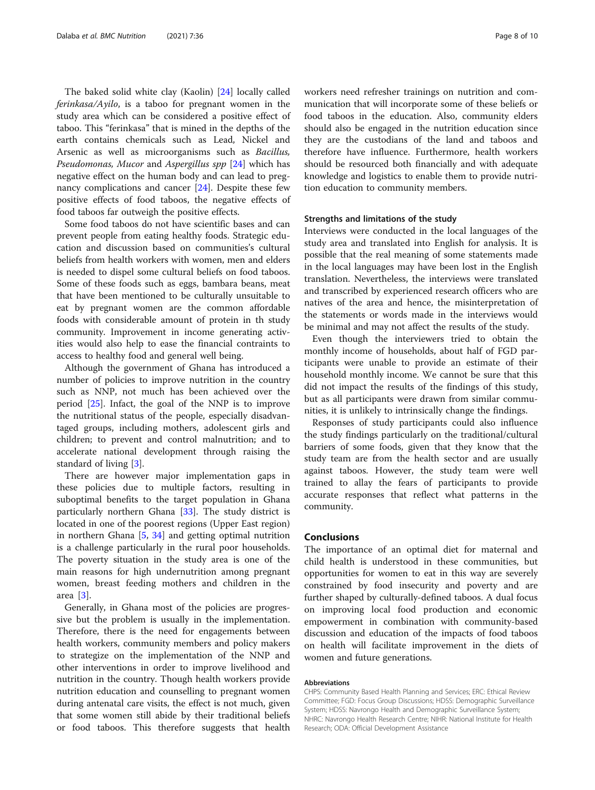The baked solid white clay (Kaolin) [[24](#page-9-0)] locally called ferinkasa/Ayilo, is a taboo for pregnant women in the study area which can be considered a positive effect of taboo. This "ferinkasa" that is mined in the depths of the earth contains chemicals such as Lead, Nickel and Arsenic as well as microorganisms such as Bacillus, Pseudomonas, Mucor and Aspergillus spp [\[24\]](#page-9-0) which has negative effect on the human body and can lead to pregnancy complications and cancer [[24\]](#page-9-0). Despite these few positive effects of food taboos, the negative effects of food taboos far outweigh the positive effects.

Some food taboos do not have scientific bases and can prevent people from eating healthy foods. Strategic education and discussion based on communities's cultural beliefs from health workers with women, men and elders is needed to dispel some cultural beliefs on food taboos. Some of these foods such as eggs, bambara beans, meat that have been mentioned to be culturally unsuitable to eat by pregnant women are the common affordable foods with considerable amount of protein in th study community. Improvement in income generating activities would also help to ease the financial contraints to access to healthy food and general well being.

Although the government of Ghana has introduced a number of policies to improve nutrition in the country such as NNP, not much has been achieved over the period [\[25](#page-9-0)]. Infact, the goal of the NNP is to improve the nutritional status of the people, especially disadvantaged groups, including mothers, adolescent girls and children; to prevent and control malnutrition; and to accelerate national development through raising the standard of living [\[3](#page-8-0)].

There are however major implementation gaps in these policies due to multiple factors, resulting in suboptimal benefits to the target population in Ghana particularly northern Ghana [\[33](#page-9-0)]. The study district is located in one of the poorest regions (Upper East region) in northern Ghana  $[5, 34]$  $[5, 34]$  $[5, 34]$  $[5, 34]$  $[5, 34]$  and getting optimal nutrition is a challenge particularly in the rural poor households. The poverty situation in the study area is one of the main reasons for high undernutrition among pregnant women, breast feeding mothers and children in the area [[3](#page-8-0)].

Generally, in Ghana most of the policies are progressive but the problem is usually in the implementation. Therefore, there is the need for engagements between health workers, community members and policy makers to strategize on the implementation of the NNP and other interventions in order to improve livelihood and nutrition in the country. Though health workers provide nutrition education and counselling to pregnant women during antenatal care visits, the effect is not much, given that some women still abide by their traditional beliefs or food taboos. This therefore suggests that health workers need refresher trainings on nutrition and communication that will incorporate some of these beliefs or food taboos in the education. Also, community elders should also be engaged in the nutrition education since they are the custodians of the land and taboos and therefore have influence. Furthermore, health workers should be resourced both financially and with adequate knowledge and logistics to enable them to provide nutrition education to community members.

#### Strengths and limitations of the study

Interviews were conducted in the local languages of the study area and translated into English for analysis. It is possible that the real meaning of some statements made in the local languages may have been lost in the English translation. Nevertheless, the interviews were translated and transcribed by experienced research officers who are natives of the area and hence, the misinterpretation of the statements or words made in the interviews would be minimal and may not affect the results of the study.

Even though the interviewers tried to obtain the monthly income of households, about half of FGD participants were unable to provide an estimate of their household monthly income. We cannot be sure that this did not impact the results of the findings of this study, but as all participants were drawn from similar communities, it is unlikely to intrinsically change the findings.

Responses of study participants could also influence the study findings particularly on the traditional/cultural barriers of some foods, given that they know that the study team are from the health sector and are usually against taboos. However, the study team were well trained to allay the fears of participants to provide accurate responses that reflect what patterns in the community.

#### Conclusions

The importance of an optimal diet for maternal and child health is understood in these communities, but opportunities for women to eat in this way are severely constrained by food insecurity and poverty and are further shaped by culturally-defined taboos. A dual focus on improving local food production and economic empowerment in combination with community-based discussion and education of the impacts of food taboos on health will facilitate improvement in the diets of women and future generations.

#### Abbreviations

CHPS: Community Based Health Planning and Services; ERC: Ethical Review Committee; FGD: Focus Group Discussions; HDSS: Demographic Surveillance System; HDSS: Navrongo Health and Demographic Surveillance System; NHRC: Navrongo Health Research Centre; NIHR: National Institute for Health Research; ODA: Official Development Assistance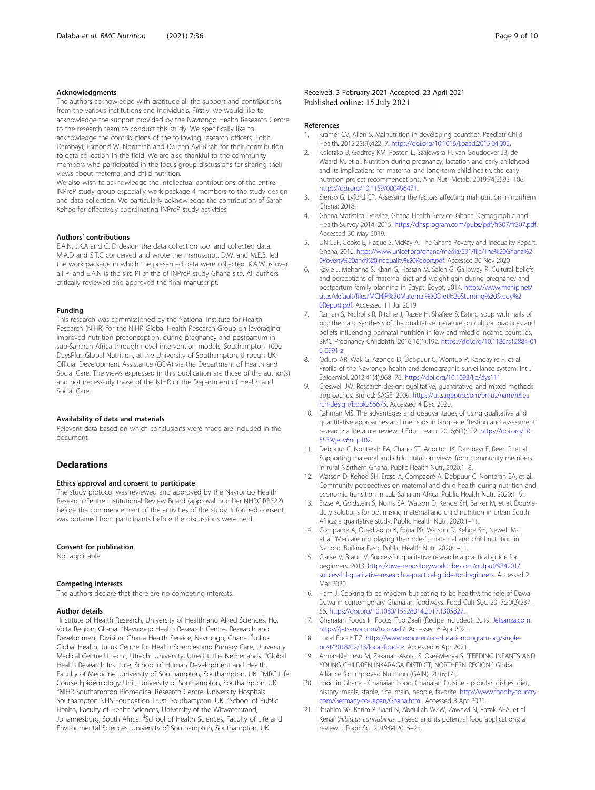#### <span id="page-8-0"></span>Acknowledgments

The authors acknowledge with gratitude all the support and contributions from the various institutions and individuals. Firstly, we would like to acknowledge the support provided by the Navrongo Health Research Centre to the research team to conduct this study. We specifically like to acknowledge the contributions of the following research officers: Edith Dambayi, Esmond W. Nonterah and Doreen Ayi-Bisah for their contribution to data collection in the field. We are also thankful to the community members who participated in the focus group discussions for sharing their views about maternal and child nutrition.

We also wish to acknowledge the intellectual contributions of the entire INPreP study group especially work package 4 members to the study design and data collection. We particularly acknowledge the contribution of Sarah Kehoe for effectively coordinating INPreP study activities.

#### Authors' contributions

E.A.N, J.K.A and C. D design the data collection tool and collected data. M.A.D and S.T.C conceived and wrote the manuscript. D.W. and M.E.B. led the work package in which the presented data were collected. K.A.W. is over all PI and E.A.N is the site PI of the of INPreP study Ghana site. All authors critically reviewed and approved the final manuscript.

#### Funding

This research was commissioned by the National Institute for Health Research (NIHR) for the NIHR Global Health Research Group on leveraging improved nutrition preconception, during pregnancy and postpartum in sub-Saharan Africa through novel intervention models, Southampton 1000 DaysPlus Global Nutrition, at the University of Southampton, through UK Official Development Assistance (ODA) via the Department of Health and Social Care. The views expressed in this publication are those of the author(s) and not necessarily those of the NIHR or the Department of Health and Social Care.

#### Availability of data and materials

Relevant data based on which conclusions were made are included in the document.

#### Declarations

#### Ethics approval and consent to participate

The study protocol was reviewed and approved by the Navrongo Health Research Centre Institutional Review Board (approval number NHRCIRB322) before the commencement of the activities of the study. Informed consent was obtained from participants before the discussions were held.

#### Consent for publication

Not applicable.

#### Competing interests

The authors declare that there are no competing interests.

#### Author details

<sup>1</sup>Institute of Health Research, University of Health and Allied Sciences, Ho, Volta Region, Ghana. <sup>2</sup>Navrongo Health Research Centre, Research and Development Division, Ghana Health Service, Navrongo, Ghana. <sup>3</sup>Julius Global Health, Julius Centre for Health Sciences and Primary Care, University Medical Centre Utrecht, Utrecht University, Utrecht, the Netherlands. <sup>4</sup>Global Health Research Institute, School of Human Development and Health, Faculty of Medicine, University of Southampton, Southampton, UK. <sup>5</sup>MRC Life Course Epidemiology Unit, University of Southampton, Southampton, UK. 6 NIHR Southampton Biomedical Research Centre, University Hospitals Southampton NHS Foundation Trust, Southampton, UK. <sup>7</sup>School of Public Health, Faculty of Health Sciences, University of the Witwatersrand, Johannesburg, South Africa. <sup>8</sup>School of Health Sciences, Faculty of Life and Environmental Sciences, University of Southampton, Southampton, UK.

#### References

- 1. Kramer CV, Allen S. Malnutrition in developing countries. Paediatr Child Health. 2015;25(9):422–7. [https://doi.org/10.1016/j.paed.2015.04.002.](https://doi.org/10.1016/j.paed.2015.04.002)
- 2. Koletzko B, Godfrey KM, Poston L, Szajewska H, van Goudoever JB, de Waard M, et al. Nutrition during pregnancy, lactation and early childhood and its implications for maternal and long-term child health: the early nutrition project recommendations. Ann Nutr Metab. 2019;74(2):93–106. [https://doi.org/10.1159/000496471.](https://doi.org/10.1159/000496471)
- 3. Sienso G, Lyford CP. Assessing the factors affecting malnutrition in northern Ghana; 2018.
- 4. Ghana Statistical Service, Ghana Health Service. Ghana Demographic and Health Survey 2014. 2015. <https://dhsprogram.com/pubs/pdf/fr307/fr307.pdf>. Accessed 30 May 2019.
- 5. UNICEF, Cooke E, Hague S, McKay A. The Ghana Poverty and Inequality Report. Ghana; 2016. [https://www.unicef.org/ghana/media/531/file/The%20Ghana%2](https://www.unicef.org/ghana/media/531/file/The%20Ghana%20Poverty%20and%20Inequality%20Report.pdf) [0Poverty%20and%20Inequality%20Report.pdf.](https://www.unicef.org/ghana/media/531/file/The%20Ghana%20Poverty%20and%20Inequality%20Report.pdf) Accessed 30 Nov 2020
- 6. Kavle J, Mehanna S, Khan G, Hassan M, Saleh G, Galloway R. Cultural beliefs and perceptions of maternal diet and weight gain during pregnancy and postpartum family planning in Egypt. Egypt; 2014. [https://www.mchip.net/](https://www.mchip.net/sites/default/files/MCHIP%20Maternal%20Diet%20Stunting%20Study%20Report.pdf) [sites/default/files/MCHIP%20Maternal%20Diet%20Stunting%20Study%2](https://www.mchip.net/sites/default/files/MCHIP%20Maternal%20Diet%20Stunting%20Study%20Report.pdf) [0Report.pdf.](https://www.mchip.net/sites/default/files/MCHIP%20Maternal%20Diet%20Stunting%20Study%20Report.pdf) Accessed 11 Jul 2019
- 7. Raman S, Nicholls R, Ritchie J, Razee H, Shafiee S. Eating soup with nails of pig: thematic synthesis of the qualitative literature on cultural practices and beliefs influencing perinatal nutrition in low and middle income countries. BMC Pregnancy Childbirth. 2016;16(1):192. [https://doi.org/10.1186/s12884-01](https://doi.org/10.1186/s12884-016-0991-z) [6-0991-z.](https://doi.org/10.1186/s12884-016-0991-z)
- 8. Oduro AR, Wak G, Azongo D, Debpuur C, Wontuo P, Kondayire F, et al. Profile of the Navrongo health and demographic surveillance system. Int J Epidemiol. 2012;41(4):968–76. <https://doi.org/10.1093/ije/dys111>.
- 9. Creswell JW. Research design: qualitative, quantitative, and mixed methods approaches. 3rd ed: SAGE; 2009. [https://us.sagepub.com/en-us/nam/resea](https://us.sagepub.com/en-us/nam/research-design/book255675) [rch-design/book255675](https://us.sagepub.com/en-us/nam/research-design/book255675). Accessed 4 Dec 2020.
- 10. Rahman MS. The advantages and disadvantages of using qualitative and quantitative approaches and methods in language "testing and assessment" research: a literature review. J Educ Learn. 2016;6(1):102. [https://doi.org/10.](https://doi.org/10.5539/jel.v6n1p102) [5539/jel.v6n1p102](https://doi.org/10.5539/jel.v6n1p102).
- 11. Debpuur C, Nonterah EA, Chatio ST, Adoctor JK, Dambayi E, Beeri P, et al. Supporting maternal and child nutrition: views from community members in rural Northern Ghana. Public Health Nutr. 2020:1–8.
- 12. Watson D, Kehoe SH, Erzse A, Compaoré A, Debpuur C, Nonterah EA, et al. Community perspectives on maternal and child health during nutrition and economic transition in sub-Saharan Africa. Public Health Nutr. 2020:1–9.
- 13. Erzse A, Goldstein S, Norris SA, Watson D, Kehoe SH, Barker M, et al. Doubleduty solutions for optimising maternal and child nutrition in urban South Africa: a qualitative study. Public Health Nutr. 2020:1–11.
- 14. Compaoré A, Ouedraogo K, Boua PR, Watson D, Kehoe SH, Newell M-L, et al. 'Men are not playing their roles' , maternal and child nutrition in Nanoro, Burkina Faso. Public Health Nutr. 2020:1–11.
- 15. Clarke V, Braun V. Successful qualitative research: a practical guide for beginners. 2013. [https://uwe-repository.worktribe.com/output/934201/](https://uwe-repository.worktribe.com/output/934201/successful-qualitative-research-a-practical-guide-for-beginners) [successful-qualitative-research-a-practical-guide-for-beginners.](https://uwe-repository.worktribe.com/output/934201/successful-qualitative-research-a-practical-guide-for-beginners) Accessed 2 Mar 2020.
- 16. Ham J. Cooking to be modern but eating to be healthy: the role of Dawa-Dawa in contemporary Ghanaian foodways. Food Cult Soc. 2017;20(2):237– 56. <https://doi.org/10.1080/15528014.2017.1305827>.
- 17. Ghanaian Foods In Focus: Tuo Zaafi (Recipe Included). 2019. [Jetsanza.com.](http://jetsanza.com) [https://jetsanza.com/tuo-zaafi/.](https://jetsanza.com/tuo-zaafi/) Accessed 6 Apr 2021.
- 18. Local Food: T.Z. [https://www.exponentialeducationprogram.org/single](https://www.exponentialeducationprogram.org/single-post/2018/02/13/local-food-tz)[post/2018/02/13/local-food-tz.](https://www.exponentialeducationprogram.org/single-post/2018/02/13/local-food-tz) Accessed 6 Apr 2021.
- 19. Armar-Klemesu M, Zakariah-Akoto S, Osei-Menya S. "FEEDING INFANTS AND YOUNG CHILDREN INKARAGA DISTRICT, NORTHERN REGION:" Global Alliance for Improved Nutrition (GAIN). 2016;171.
- 20. Food in Ghana Ghanaian Food, Ghanaian Cuisine popular, dishes, diet, history, meals, staple, rice, main, people, favorite. [http://www.foodbycountry.](http://www.foodbycountry.com/Germany-to-Japan/Ghana.html) [com/Germany-to-Japan/Ghana.html](http://www.foodbycountry.com/Germany-to-Japan/Ghana.html). Accessed 8 Apr 2021.
- 21. Ibrahim SG, Karim R, Saari N, Abdullah WZW, Zawawi N, Razak AFA, et al. Kenaf (Hibiscus cannabinus L.) seed and its potential food applications: a review. J Food Sci. 2019;84:2015–23.